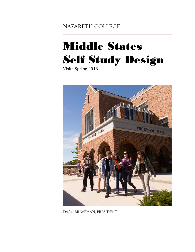NAZARETH COLLEGE

# Middle States Self Study Design

Visit: Spring 2016



DAAN BRAVEMAN, PRESIDENT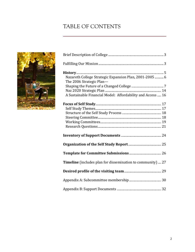## TABLE OF CONTENTS



| Nazareth College Strategic Expansion Plan, 2001-2005  6<br>The 2006 Strategic Plan- |
|-------------------------------------------------------------------------------------|
|                                                                                     |
| A Sustainable Financial Model: Affordability and Access  16                         |
|                                                                                     |
|                                                                                     |
|                                                                                     |
|                                                                                     |
|                                                                                     |
|                                                                                     |
|                                                                                     |
|                                                                                     |
|                                                                                     |
| <b>Timeline</b> (includes plan for dissemination to community)  27                  |
|                                                                                     |
|                                                                                     |
|                                                                                     |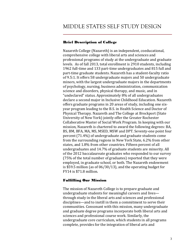## Brief Description of College

Nazareth College (Nazareth) is an independent, coeducational, comprehensive college with liberal arts and sciences and professional programs of study at the undergraduate and graduate levels. As of fall 2013, total enrollment is 2910 students, including 1962 full-time and 133 part-time undergraduates and 815 full and part-time graduate students. Nazareth has a student-faculty ratio of 9.5:1. It offers 58 undergraduate majors and 50 undergraduate minors, with the largest undergraduate majors in the departments of psychology, nursing, business administration, communication science and disorders, physical therapy, and music, and in "undeclared" status. Approximately 8% of all undergraduates declare a second major in Inclusive Childhood Education. Nazareth offers graduate programs in 20 areas of study, including one sixyear program leading to the B.S. in Health Science and Doctor of Physical Therapy. Nazareth and The College at Brockport (State University of New York) jointly offer the Greater Rochester Collaborative Master of Social Work Program. In keeping with our mission, Nazareth is chartered to award the following degrees: BA, BS, BM, BFA, MA, MS, MSED, MSW and DPT. Seventy-one point four percent (71.4%) of undergraduate and graduate students come from the surrounding regions in New York State, 6.2% from other states, and 1.8% from other countries. Fifteen percent of all undergraduates and 14.7% of graduate students are minority. All of the 2012 baccalaureate graduates who responded to our survey (75% of the total number of graduates) reported that they were employed, in graduate school, or both. The Nazareth endowment is \$59.5 million (as of 06/30/13), and the operating budget for FY14 is \$71.8 million.

## Fulfilling Our Mission

The mission of Nazareth College is to prepare graduate and undergraduate students for meaningful careers and lives through study in the liberal arts and sciences and professional disciplines—and to instill in them a commitment to serve their communities. Consonant with this mission, many undergraduate and graduate degree programs incorporate both liberal arts and sciences and professional course work. Similarly, the undergraduate core curriculum, which students in all programs complete, provides for the integration of liberal arts and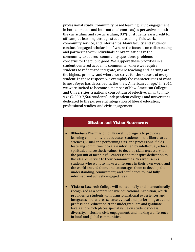professional study. Community based learning (civic engagement in both domestic and international contexts) is pervasive in both the curriculum and co-curriculum; 93% of students earn credit for off-campus learning through student teaching, fieldwork, community service, and internships. Many faculty and students conduct "engaged scholarship," where the focus is on collaborating and partnering with individuals or organizations in the community to address community questions, problems or concerns for the public good. We support these priorities in a student-centered academic community, where we require students to reflect and integrate, where teaching and learning are the highest priority, and where we strive for the success of every student. In these respects we exemplify the characteristics of what Ernest Boyer has described as the "new American college." In 2011 we were invited to become a member of New American Colleges and Universities, a national consortium of selective, small to midsize (2,000-7,500 students) independent colleges and universities dedicated to the purposeful integration of liberal education, professional studies, and civic engagement.

#### Mission and Vision Statements

- **Mission:** The mission of Nazareth College is to provide a learning community that educates students in the liberal arts, sciences, visual and performing arts, and professional fields, fostering commitment to a life informed by intellectual, ethical, spiritual, and aesthetic values; to develop skills necessary for the pursuit of meaningful careers; and to inspire dedication to the ideal of service to their communities. Nazareth seeks students who want to make a difference in their own world and the world around them, and encourages them to develop the understanding, commitment, and confidence to lead fully informed and actively engaged lives.
- Vision: Nazareth College will be nationally and internationally recognized as a comprehensive educational institution, which provides its students with transformational experiences and integrates liberal arts, sciences, visual and performing arts, and professional education at the undergraduate and graduate levels and which places special value on student success, diversity, inclusion, civic engagement, and making a difference in local and global communities.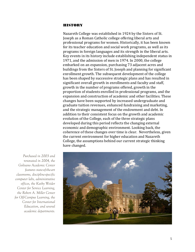## **HISTORY**

Nazareth College was established in 1924 by the Sisters of St. Joseph as a Roman Catholic college offering liberal arts and professional programs for women. Historically, it has been known for its teacher education and social work programs, as well as its programs in foreign languages and its strength in the liberal arts. Key events in its history include establishing independent status in 1971, and the admission of men in 1974. In 2000, the college embarked on an expansion, purchasing 73 adjacent acres and buildings from the Sisters of St. Joseph and planning for significant enrollment growth. The subsequent development of the college has been shaped by successive strategic plans and has resulted in significant overall growth in enrollments and faculty and staff, growth in the number of programs offered, growth in the proportion of students enrolled in professional programs, and the expansion and construction of academic and other facilities. These changes have been supported by increased undergraduate and graduate tuition revenues, enhanced fundraising and marketing, and the strategic management of the endowment and debt. In addition to their consistent focus on the growth and academic evolution of the College, each of the three strategic plans developed during this period reflects the changing external economic and demographic environment. Looking back, the coherence of these changes over time is clear. Nevertheless, given the current environment for higher education and Nazareth College, the assumptions behind our current strategic thinking have changed.

*Purchased in 2003 and renovated in 2004, the Golisano Academic Center features state-of-the-art classrooms, discipline-specific computer labs, administrative offices, the Kathy Weider Center for Service Learning, the Robert A. Miller Center for Off-Campus Learning, the Center for International Education, and several academic departments.*

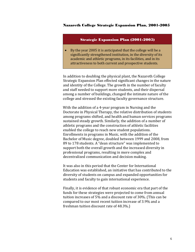#### Nazareth College Strategic Expansion Plan, 2001-2005

#### Strategic Expansion Plan (2001-2005)

• By the year 2005 it is anticipated that the college will be a significantly strengthened institution, in the diversity of its academic and athletic programs, in its facilities, and in its attractiveness to both current and prospective students.

In addition to doubling the physical plant, the Nazareth College Strategic Expansion Plan effected significant changes in the nature and identity of the College. The growth in the number of faculty and staff needed to support more students, and their dispersal among a number of buildings, changed the intimate nature of the college and stressed the existing faculty governance structure.

With the addition of a 4-year program in Nursing and the Doctorate in Physical Therapy, the relative distribution of students among programs shifted, and health and human services programs sustained steady growth. Similarly, the addition of a number of athletic programs and the construction of athletic facilities enabled the college to reach new student populations. Enrollments in programs in Music, with the addition of the Bachelor of Music degree, doubled between 1999 and 2008, from 89 to 178 students. A "dean structure" was implemented to support both the overall growth and the increased diversity in professional programs, resulting in more complex and decentralized communication and decision making.

It was also in this period that the Center for International Education was established, an initiative that has contributed to the diversity of students on campus and expanded opportunities for students and faculty to gain international experience.

Finally, it is evidence of that robust economic era that part of the funds for these strategies were projected to come from annual tuition increases of 5% and a discount rate of 30%. (This can be compared to our most recent tuition increase of 3.9% and a freshman tuition discount rate of 48.3%.)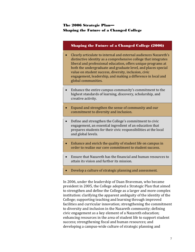## The 2006 Strategic Plan— Shaping the Future of a Changed College

## Shaping the Future of a Changed College (2006)

- Clearly articulate to internal and external audiences Nazareth's distinctive identity as a comprehensive college that integrates liberal and professional education, offers unique programs at both the undergraduate and graduate level, and places special value on student success, diversity, inclusion, civic engagement, leadership, and making a difference in local and global communities.
- Enhance the entire campus community's commitment to the highest standards of learning, discovery, scholarship, and creative activity.
- Expand and strengthen the sense of community and our commitment to diversity and inclusion.
- Define and strengthen the College's commitment to civic engagement, an essential ingredient of an education that prepares students for their civic responsibilities at the local and global levels.
- Enhance and enrich the quality of student life on campus in order to realize our core commitment to student success.
- Ensure that Nazareth has the financial and human resources to attain its vision and further its mission.
- Develop a culture of strategic planning and assessment.

In 2006, under the leadership of Daan Braveman, who became president in 2005, the College adopted a Strategic Plan that aimed to strengthen and define the College as a larger and more complex institution: clarifying the apparent ambiguity of the identity of the College; supporting teaching and learning through improved facilities and curricular innovation; strengthening the commitment to diversity and inclusion in the Nazareth community; defining civic engagement as a key element of a Nazareth education; enhancing resources in the area of student life to support student success; strengthening fiscal and human resources; and developing a campus-wide culture of strategic planning and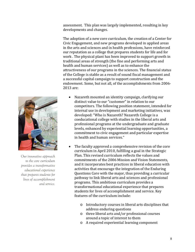assessment. This plan was largely implemented, resulting in key developments and changes.

The adoption of a new core curriculum, the creation of a Center for Civic Engagement, and new programs developed in applied areas in the arts and sciences and in health professions, have reinforced our reputation as a college that prepares students for life and for work . The physical plant has been improved to support growth in traditional areas of strength (the fine and performing arts and health and human services) as well as to enhance the attractiveness of our programs in the sciences. The financial status of the College is stable as a result of sound fiscal management and a successful capital campaign to support construction and the endowment. Some, but not all, of the accomplishments from 2006- 2013 are:



*Our innovative approach to the core curriculum provides a transformative educational experience that prepares students for lives of accomplishment and service.*

- Nazareth mounted an identity campaign, clarifying our distinct value to our "customer" in relation to our competitors. The following position statement, intended for internal use in development and marketing initiatives, was developed: "Who is Nazareth? Nazareth College is a coeducational college with studies in the liberal arts and professional programs at the undergraduate and graduate levels, enhanced by experiential learning opportunities, a commitment to civic engagement and particular expertise in health and human services."
- The faculty approved a comprehensive revision of the core curriculum in April 2010, fulfilling a goal in the Strategic Plan. This revised curriculum reflects the values and commitments of the 2006 Mission and Vision Statements, and it incorporates best practices in liberal education with activities that encourage the integration of the Enduring Questions Core with the major, thus providing a curricular pathway to link liberal arts and sciences and professional programs. This ambitious curriculum provides a transformational educational experience that prepares students for lives of accomplishment and service. Key features of the curriculum include:
	- o Introductory courses in liberal arts disciplines that address enduring questions
	- o three liberal arts and/or professional courses around a topic of interest to them
	- o A required experiential learning component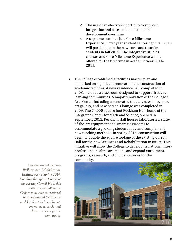- o The use of an electronic portfolio to support integration and assessment of students' development over time
- o A capstone seminar (the Core Milestone Experience). First year students entering in fall 2013 will participate in the new core, and transfer students in fall 2015. The integrative studies courses and Core Milestone Experience will be offered for the first time in academic year 2014- 2015.
- The College established a facilities master plan and embarked on significant renovation and construction of academic facilities. A new residence hall, completed in 2008, includes a classroom designed to support first-year learning communities. A major renovation of the College's Arts Center including a renovated theater, new lobby, new art gallery, and new patron's lounge was completed in 2009. The 74,000 square foot Peckham Hall, home of the Integrated Center for Math and Science, opened in September, 2012. Peckham Hall houses laboratories, stateof-the-art equipment and smart classrooms to accommodate a growing student body and complement new teaching methods. In spring 2014, construction will begin to double the square footage of the existing Carroll Hall for the new Wellness and Rehabilitation Institute. This initiative will allow the College to develop its national interprofessional health care model, and expand enrollment, programs, research, and clinical services for the community.



*Construction of our new Wellness and Rehabilitation Institute begins Spring 2014. Doubling the square footage of the existing Carroll Hall, this initiative will allow the College to develop its national interprofessional health care model and expand enrollment, programs, research, and clinical services for the community.*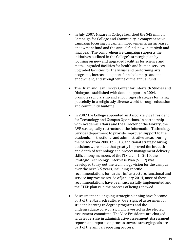- In July 2007, Nazareth College launched the \$45 million Campaign for College and Community, a comprehensive campaign focusing on capital improvements, an increased endowment fund and the annual fund, now in its sixth and final year. The comprehensive campaign supports the initiatives outlined in the College's strategic plan by focusing on new and upgraded facilities for science and math, upgraded facilities for health and human services, upgraded facilities for the visual and performing arts programs, increased support for scholarships and the endowment, and strengthening of the annual fund.
- The Brian and Jean Hickey Center for Interfaith Studies and Dialogue, established with donor support in 2004, promotes scholarship and encourages strategies for living peacefully in a religiously diverse world through education and community building.
- In 2007 the College appointed an Associate Vice President for Technology and Campus Operations. In partnership with Academic Affairs and the Director of the Library, the AVP strategically restructured the Information Technology Services department to provide improved support to the academic, instructional and administrative areas. During the period from 2008 to 2013, additional strategic hiring decisions were made that greatly improved the breadth and depth of technology and project management delivery skills among members of the ITS team. In 2010, the Strategic Technology Enterprise Plan (STEP) was developed to lay out the technology vision for the campus over the next 3-5 years, including specific recommendations for further infrastructure, functional and service improvements. As of January 2014, most of these recommendations have been successfully implemented and the STEP plan is in the process of being renewed.
- Assessment and ongoing strategic planning have become part of the Nazareth culture. Oversight of assessment of student learning in degree programs and the undergraduate core curriculum is vested in the elected assessment committee. The Vice Presidents are charged with leadership in administrative assessment. Assessment reports and reports on process toward strategic goals are part of the annual reporting process.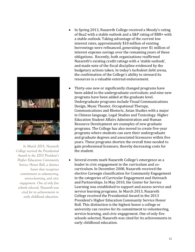

*In March 2013, Nazareth College received the Presidential Award in the 2013 President's Higher Education Community Service Honor Roll, a distinct honor that recognizes commitment to volunteering, service-learning, and civic engagement. One of only five schools selected, Nazareth was cited for its achievements in early childhood education.*

- In Spring 2013, Nazareth College received a Moody's rating of Baa2 with a stable outlook and a S&P rating of BBB+ with a stable outlook. Taking advantage of the current low interest rates, approximately \$18 million of existing borrowings were refinanced, generating over \$1 million of interest expense savings over the remaining years of these obligations. Recently, both organizations reaffirmed Nazareth's existing credit ratings with a 'stable outlook', and made note of the fiscal discipline evidenced by the budgetary actions taken. In today's turbulent debt arena, the confirmation of the College's ability to steward its resources is a valuable external endorsement.
- Thirty-one new or significantly changed programs have been added to the undergraduate curriculum; and nine new programs have been added at the graduate level. Undergraduate programs include Visual Communications Design, Music Theater, Occupational Therapy, Communications and Rhetoric, Asian Studies with a major in Chinese language, Legal Studies and Toxicology. Higher Education Student Affairs Administration and Human Resource Development are examples of new graduate programs. The College has also moved to create five-year programs where students can earn their undergraduate and graduate degrees and associated licensures within five years. These programs shorten the overall time needed to gain professional licensure, thereby decreasing costs for the student.
- Several events mark Nazareth College's emergence as a leader in civic engagement in the curriculum and cocurriculum. In December 2008, Nazareth received the elective Carnegie classification for Community Engagement in the categories of Curricular Engagement and Outreach and Partnerships. In May 2010, the Center for Service Learning was established to support and assess service and service learning programs. In March 2013, Nazareth College received the Presidential Award in the 2013 President's Higher Education Community Service Honor Roll. This distinction is the highest honor a college or university can receive for its commitment to volunteering, service-learning, and civic engagement. One of only five schools selected, Nazareth was cited for its achievements in early childhood education.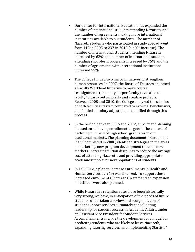- Our Center for International Education has expanded the number of international students attending Nazareth, and the number of agreements making more international institutions available to our students. The number of Nazareth students who participated in study abroad went from 142 in 2005 to 237 in 2012 (a 40% increase). The number of international students attending Nazareth increased by 62%, the number of international students attending short-term programs increased by 75% and the number of agreements with international institutions increased 55%.
- The College funded two major initiatives to strengthen human resources. In 2007, the Board of Trustees endorsed a Faculty Workload Initiative to make course reassignments (one per year per faculty) available to faculty to carry out scholarly and creative projects. Between 2008 and 2010, the College analyzed the salaries of both faculty and staff, compared to external benchmarks, and funded all salary adjustments identified through this process.
- In the period between 2006 and 2012, enrollment planning focused on achieving enrollment targets in the context of declining numbers of high school graduates in our traditional markets. The planning document, "Enrollment Plan," completed in 2008, identified strategies in the areas of marketing, new program development to reach new markets, increasing tuition discounts to reduce the average cost of attending Nazareth, and providing appropriate academic support for new populations of students.
- In Fall 2012, a plan to increase enrollments in Health and Human Services by 26% was finalized. To support these increased enrollments, increases in staff and an expansion of facilities were also planned.
- While Nazareth's retention rates have been historically very strong, we have, in anticipation of the needs of future students, undertaken a review and reorganization of student support services, ultimately consolidating leadership for student success in Academic Affairs, under an Assistant Vice President for Student Services. Accomplishments include the development of a model for predicting students who are likely to leave Nazareth, expanding tutoring services, and implementing Starfish™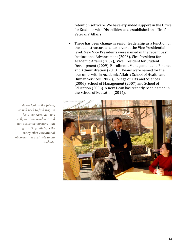retention software. We have expanded support in the Office for Students with Disabilities, and established an office for Veterans' Affairs.

• There has been change in senior leadership as a function of the dean structure and turnover at the Vice Presidential level. New Vice Presidents were named in the recent past: Institutional Advancement (2006), Vice President for Academic Affairs (2007), Vice President for Student Development (2009), Enrollment Management and Finance and Administration (2013). Deans were named for the four units within Academic Affairs: School of Health and Human Services (2006), College of Arts and Sciences (2006), School of Management (2007) and School of Education (2006). A new Dean has recently been named in the School of Education (2014).



*As we look to the future, we will need to find ways to focus our resources more directly on those academic and non-academic programs that distinguish Nazareth from the many other educational opportunities available to our students.*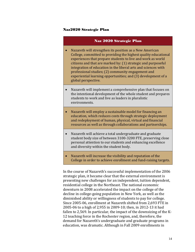#### Naz2020 Strategic Plan

#### Naz 2020 Strategic Plan

- Nazareth will strengthen its position as a New American College, committed to providing the highest quality educational experiences that prepare students to live and work as world citizens and that are marked by: (1) strategic and purposeful integration of education in the liberal arts and sciences with professional studies; (2) community engagement and experiential learning opportunities; and (3) development of a global perspective.
- Nazareth will implement a comprehensive plan that focuses on the intentional development of the whole student and prepares students to work and live as leaders in pluralistic environments.
- Nazareth will employ a sustainable model for financing an education, which reduces costs through strategic deployment and redeployment of human, physical, virtual and financial resources as well as through collaborations and partnerships.
- Nazareth will achieve a total undergraduate and graduate student body size of between 3100-3200 FTE, preserving close personal attention to our students and enhancing excellence and diversity within the student body.
- Nazareth will increase the visibility and reputation of the College in order to achieve enrollment and fund-raising targets.

In the course of Nazareth's successful implementation of the 2006 strategic plan, it became clear that the external environment is presenting new challenges for an independent, tuition dependent, residential college in the Northeast. The national economic downturn in 2008 accelerated the impact on the college of the decline in college-going population in New York, as well as the diminished ability or willingness of students to pay for college. Since 2005-06, enrollment at Nazareth shifted from 2,693 FTE in 2005-06 to a high of 2,955 in 2009-10; then, in 2012-13 it had fallen to 2,569. In particular, the impact of the downsizing of the K-12 teaching force in the Rochester region, and, therefore, the demand for Nazareth's undergraduate and graduate programs in education, was dramatic. Although in Fall 2009 enrollments in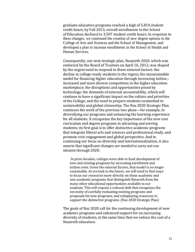graduate education programs reached a high of 5,810 student credit hours, by Fall 2013, overall enrollments in the School of Education declined to 3,507 student credit hours. In response to these changes, we continued the creation of new degree options in the College of Arts and Sciences and the School of Management, and developed a plan to increase enrollments in the School of Health and Human Services.

Consequently, our next strategic plan, Nazareth 2020, which was endorsed by the Board of Trustees on April 16, 2012, was shaped by the urgent need to respond to these external factors: the decline in college-ready students in the region; the unsustainable model for financing higher education through increasing tuition ; increased and more diverse competition in the higher education marketplace; the disruptions and opportunities posed by technology; the demands of external accountability, which will continue to have a significant impact on the culture and priorities of the College; and the need to prepare students committed to sustainability and global citizenship. The Naz 2020 Strategic Plan continues the work of the previous two plans—for example, in diversifying our programs and enhancing the learning experience for all students. It recognizes the key importance of the new core curriculum and degree programs in attracting and serving students; its first goal is to offer distinctive academic programs that integrate liberal arts and sciences and professional study, and promote civic engagement and global perspective. And in continuing our focus on diversity and internationalization, it also asserts that significant changes are needed to carry out our mission through 2020:

In prior decades, colleges were able to fund development of new and existing programs by increasing enrollment and tuition costs. Given the external factors, that model is no longer sustainable. As we look to the future, we will need to find ways to focus our resources more directly on those academic and non-academic programs that distinguish Nazareth from the many other educational opportunities available to our students. This will require a cultural shift that recognizes the necessity of carefully evaluating existing programs and proposals for new programs, and redeploying resources to support the distinctive programs. (Naz 2020 Strategic Plan)

The goals of Naz 2020 call for the continuing development of new academic programs and enhanced support for an increasing diversity of students, at the same time that we reduce the cost of a Nazareth education.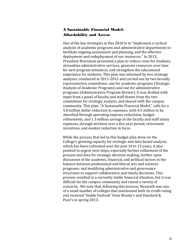## A Sustainable Financial Model: Affordability and Access

One of the key strategies in Naz 2020 is to "implement a cyclical analysis of academic programs and administrative departments to facilitate ongoing assessment and planning, and the effective deployment and redeployment of our resources." In 2013, President Braveman presented a plan to reduce costs for students, streamline administrative services, generate resources over time for new program initiatives, and strengthen the educational experience for students. This plan was informed by two strategic analyses, conducted in 2011-2012 and carried out by two broadly representative committees: one for academic programs (Strategic Analysis of Academic Programs) and one for administrative programs (Administrative Program Review). It was drafted with input from a panel of faculty and staff drawn from the two committees for strategic analysis, and shared with the campus community. This plan, "A Sustainable Financial Model," calls for a 5.8 million dollar reduction in expenses, with 4.5 million to be absorbed through operating expense reductions, budget refinements, and 1.3 million savings in the faculty and staff salary expenses, through attrition over a five year period, retirement incentives, and modest reduction in force.

While the process that led to this budget plan drew on the College's growing capacity for strategic and data-based analysis, which has been cultivated over the past 10 to 15 years, it also pointed to urgent next steps, especially further refinement of the process and data for strategic decision-making; further open discussion of the academic, financial, and political factors in the balance between professional and liberal arts and sciences programs; and modifying administrative and governance structures to support collaborative and timely decisions. This process resulted in a currently stable financial situation, but it was difficult for the campus community and raised a variety of concerns. We note that, following this process, Nazareth was one of a small number of colleges that maintained both its credit rating and received "Stable Outlook" from Moody's and Standard & Poor's in spring 2013.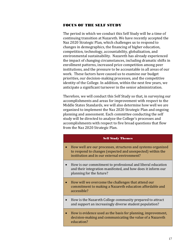#### FOCUS OF THE SELF STUDY

The period in which we conduct this Self Study will be a time of continuing transition at Nazareth. We have recently accepted the Naz 2020 Strategic Plan, which challenges us to respond to changes in demographics, the financing of higher education, competition, technology, accountability, globalization, and environmental sustainability. Nazareth has already experienced the impact of changing circumstances, including dramatic shifts in enrollment patterns, increased price competition among peer institutions, and the pressure to be accountable in all areas of our work. These factors have caused us to examine our budget priorities, our decision-making processes, and the competitive identity of the College. In addition, within the next few years, we anticipate a significant turnover in the senior administration.

Therefore, we will conduct this Self Study so that, in surveying our accomplishments and areas for improvement with respect to the Middle States Standards, we will also determine how well we are organized to implement the Naz 2020 Strategic Plan and ongoing planning and assessment. Each committee conducting the self study will be directed to analyze the College's processes and accomplishments with respect to five broad questions that flow from the Naz 2020 Strategic Plan.

#### Self Study Themes

- How well are our processes, structures and systems organized to respond to changes (expected and unexpected) within the institution and in our external environment?
- How is our commitment to professional and liberal education and their integration manifested, and how does it inform our planning for the future?
- How will we overcome the challenges that attend our commitment to making a Nazareth education affordable and accessible?
- How is the Nazareth College community prepared to attract and support an increasingly diverse student population?
- How is evidence used as the basis for planning, improvement, decision-making and communicating the value of a Nazareth education?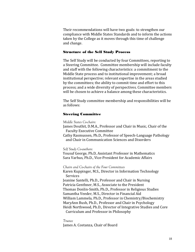Their recommendations will have two goals: to strengthen our compliance with Middle States Standards and to inform the actions taken by the College as it moves through this time of challenge and change.

#### Structure of the Self Study Process

The Self Study will be conducted by four Committees, reporting to a Steering Committee. Committee membership will include faculty and staff with the following characteristics: a commitment to the Middle State process and to institutional improvement; a broad institutional perspective; relevant expertise in the areas studied by the committees; the ability to commit time and effort to this process; and a wide diversity of perspectives. Committee members will be chosen to achieve a balance among these characteristics.

The Self Study committee membership and responsibilities will be as follows:

#### Steering Committee

*Middle States Co-chairs:* 

James Douthit, D.M.A., Professor and Chair in Music, Chair of the Faculty Executive Committee

Cathy Rasmussen, Ph.D., Professor of Speech-Language Pathology and Chair in Communication Sciences and Disorders

*Self Study Co-authors:* 

Yousuf George, Ph.D, Assistant Professor in Mathematics Sara Varhus, Ph.D., Vice-President for Academic Affairs

*Chairs and Co-chairs of the Four Committees*

Karen Kuppinger, M.S., Director in Information Technology Services Jeanine Santelli, Ph.D., Professor and Chair in Nursing Patricia Genthner, M.S., Associate to the President Thomas Donlin-Smith, Ph.D., Professor in Religious Studies Samantha Veeder, M.S., Director in Financial Aid William Lammela, Ph.D., Professor in Chemistry/Biochemistry MaryAnn Bush, Ph.D., Professor and Chair in Psychology Heidi Northwood, Ph.D., Director of Integrative Studies and Core Curriculum and Professor in Philosophy

*Trustee* James A. Costanza, Chair of Board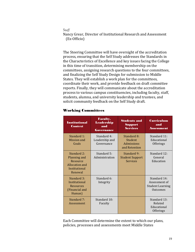#### *Staff*

Nancy Grear, Director of Institutional Research and Assessment (Ex-Officio)

The Steering Committee will have oversight of the accreditation process, ensuring that the Self Study addresses the Standards in the Characteristics of Excellence and key issues facing the College in this time of transition, determining membership on the committees, assigning research questions to the four committees, and finalizing the Self Study Design for submission to Middle States. They will establish a work plan for the committees, coordinate their work, and provide feedback on draft committee reports. Finally, they will communicate about the accreditation process to various campus constituencies, including faculty, staff, students, alumna, and university leadership and trustees, and solicit community feedback on the Self Study draft.

#### Working Committees

| <b>Institutional</b><br><b>Context</b>                                                | <b>Faculty,</b><br><b>Leadership</b><br>and<br>Governance | <b>Students and</b><br><b>Support</b><br><b>Services</b>            | Curriculum<br>and<br>Assessment                                      |
|---------------------------------------------------------------------------------------|-----------------------------------------------------------|---------------------------------------------------------------------|----------------------------------------------------------------------|
| Standard 1:<br>Mission and<br>Goals                                                   | Standard 4:<br>Leadership and<br>Governance               | Standard 8:<br><b>Student</b><br><b>Admissions</b><br>and Retention | Standard 11:<br>Educational<br>Offerings                             |
| Standard 2:<br>Planning and<br>Resource<br>Allocation and<br>Institutional<br>Renewal | Standard 5:<br>Administration                             | Standard 9:<br><b>Student Support</b><br><b>Services</b>            | Standard 12:<br>General<br>Education                                 |
| Standard 3:<br>Institutional<br><b>Resources</b><br>(Financial and<br>Human)          | Standard 6:<br>Integrity                                  |                                                                     | Standard 14:<br>Assessment of<br><b>Student Learning</b><br>Outcomes |
| Standard 7:<br>Assessment                                                             | Standard 10:<br>Faculty                                   |                                                                     | Standard 13:<br>Related<br>Educational<br>Offerings                  |

Each Committee will determine the extent to which our plans, policies, processes and assessments meet Middle States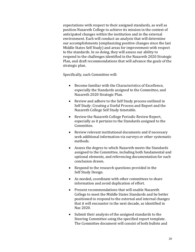expectations with respect to their assigned standards, as well as position Nazareth College to achieve its mission in the context of anticipated changes within the institution and in the external environment. Each will conduct an analysis that will determine our accomplishments (emphasizing positive changes since the last Middle States Self Study) and areas for improvement with respect to the standards. In so doing, they will assess our ability to respond to the challenges identified in the Nazareth 2020 Strategic Plan, and draft recommendations that will advance the goals of the strategic plan.

Specifically, each Committee will:

- Become familiar with the Characteristics of Excellence, especially the Standards assigned to the Committee, and Nazareth 2020 Strategic Plan.
- Review and adhere to the Self Study process outlined in Self Study: Creating a Useful Process and Report and the Nazareth College Self Study timetable.
- Review the Nazareth College Periodic Review Report, especially as it pertains to the Standards assigned to the Committee.
- Review relevant institutional documents and if necessary seek additional information via surveys or other systematic methods.
- Assess the degree to which Nazareth meets the Standards assigned to the Committee, including both fundamental and optional elements, and referencing documentation for each conclusion drawn.
- Respond to the research questions provided in the Self Study Design.
- As needed, coordinate with other committees to share information and avoid duplication of effort.
- Present recommendations that will enable Nazareth College to meet the Middle States Standards and be better positioned to respond to the external and internal changes that it will encounter in the next decade, as identified in Naz 2020.
- Submit their analysis of the assigned standards to the Steering Committee using the specified report template. The Committee document will consist of both bullets and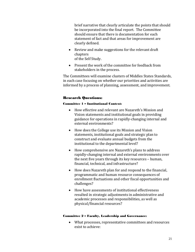brief narrative that clearly articulate the points that should be incorporated into the final report. The Committee should ensure that there is documentation for each statement of fact and that areas for improvement are clearly defined.

- Review and make suggestions for the relevant draft chapters of the Self Study.
- Present the work of the committee for feedback from stakeholders in the process.

The Committees will examine clusters of Middles States Standards, in each case focusing on whether our priorities and activities are informed by a process of planning, assessment, and improvement.

#### Research Questions:

#### Committee 1 – Institutional Context:

- How effective and relevant are Nazareth's Mission and Vision statements and institutional goals in providing guidance for operations in rapidly-changing internal and external environments?
- How does the College use its Mission and Vision statements, institutional goals and strategic plan to construct and evaluate annual budgets from the institutional to the departmental level?
- How comprehensive are Nazareth's plans to address rapidly-changing internal and external environments over the next five years through its key resources – human, financial, technical, and infrastructure?
- How does Nazareth plan for and respond to the financial, programmatic and human resource consequences of enrollment fluctuations and other fiscal opportunities and challenges?
- How have assessments of institutional effectiveness resulted in strategic adjustments in administrative and academic processes and responsibilities, as well as physical/financial resources?

#### Committee 2 – Faculty, Leadership and Governance:

• What processes, representative committees and resources exist to achieve: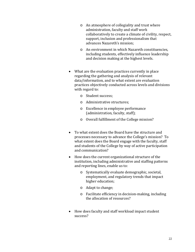- o An atmosphere of collegiality and trust where administration, faculty and staff work collaboratively to create a climate of civility, respect, support, inclusion and professionalism that advances Nazareth's mission;
- o An environment in which Nazareth constituencies, including students, effectively influence leadership and decision making at the highest levels.
- What are the evaluation practices currently in place regarding the gathering and analysis of relevant data/information, and to what extent are evaluation practices objectively conducted across levels and divisions with regard to:
	- o Student success;
	- o Administrative structures;
	- o Excellence in employee performance (administration, faculty, staff);
	- o Overall fulfillment of the College mission?
- To what extent does the Board have the structure and processes necessary to advance the College's mission? To what extent does the Board engage with the faculty, staff and students of the College by way of active participation and communication?
- How does the current organizational structure of the institution, including administrative and staffing patterns and reporting lines, enable us to:
	- o Systematically evaluate demographic, societal, employment, and regulatory trends that impact higher education;
	- o Adapt to change;
	- o Facilitate efficiency in decision-making, including the allocation of resources?
- How does faculty and staff workload impact student success?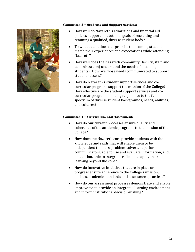#### Committee 3 – Students and Support Services:



- How well do Nazareth's admissions and financial aid policies support institutional goals of recruiting and retaining a qualified, diverse student body?
- To what extent does our promise to incoming students match their experiences and expectations while attending Nazareth?
- How well does the Nazareth community (faculty, staff, and administration) understand the needs of incoming students? How are those needs communicated to support student success?
- How do Nazareth's student support services and cocurricular programs support the mission of the College? How effective are the student support services and cocurricular programs in being responsive to the full spectrum of diverse student backgrounds, needs, abilities, and cultures?

#### Committee 4 – Curriculum and Assessment:

- How do our current processes ensure quality and coherence of the academic programs to the mission of the College?
- How does the Nazareth core provide students with the knowledge and skills that will enable them to be independent thinkers, problem-solvers, superior communicators, able to use and evaluate information, and, in addition, able to integrate, reflect and apply their learning beyond the core?
- How do innovative initiatives that are in place or in progress ensure adherence to the College's mission, policies, academic standards and assessment practices?
- How do our assessment processes demonstrate and enable improvement, provide an integrated learning environment and inform institutional decision-making?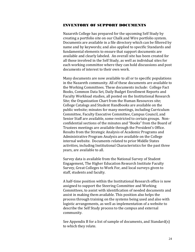#### INVENTORY OF SUPPORT DOCUMENTS

Nazareth College has prepared for the upcoming Self Study by creating a portfolio site on our Chalk and Wire portfolio system. Documents are available in a file directory which can be filtered by name and by keywords; and also applied to specific Standards and fundamental elements to ensure that support documents are available and clearly labeled. An overall site has been created for all those involved in the Self Study, as well as individual sites for each working committee where they can hold discussions and post documents of interest to their own work.

Many documents are now available to all or to specific populations in the Nazareth community. All of these documents are available to the Working Committees. These documents include: College Fact Books, Common Data Set, Daily Budget Enrollment Reports and Faculty Workload studies, all posted on the Institutional Research Site; the Organization Chart from the Human Resources site; College Catalogs and Student Handbooks are available on the public website; minutes for many meetings, including Curriculum Committee, Faculty Executive Committee, Campus Council, and Senior Staff are available, some restricted to certain groups. Nonconfidential sections of the minutes and "Books" from the Board of Trustees meetings are available through the President's Office. Results from the Strategic Analysis of Academic Programs and Administrative Program Analysis are available on the College internal website. Documents related to prior Middle States activities, including Institutional Characteristics for the past three years, are available to all.

Survey data is available from the National Survey of Student Engagement, The Higher Education Research Institute Faculty Survey, Great Colleges to Work For, and local surveys given to staff, students and faculty.

A half-time position within the Institutional Research office is now assigned to support the Steering Committee and Working Committees, to assist with identification of needed documents and assist in making them available. This position also helps the process through training on the systems being used and also with logistic arrangements, as well as implementation of a website to describe the Self Study process to the campus and external community.

See Appendix B for a list of sample of documents, and Standard(s) to which they relate.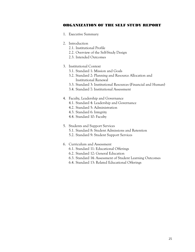#### ORGANIZATION OF THE SELF STUDY REPORT

- 1. Executive Summary
- 2. Introduction
	- 2.1. Institutional Profile
	- 2.2. Overview of the Self-Study Design
	- 2.3. Intended Outcomes
- 3. Institutional Context
	- 3.1. Standard 1: Mission and Goals
	- 3.2. Standard 2: Planning and Resource Allocation and Institutional Renewal
	- 3.3. Standard 3: Institutional Resources (Financial and Human)
	- 3.4. Standard 7: Institutional Assessment

#### 4. Faculty, Leadership and Governance

- 4.1. Standard 4: Leadership and Governance
- 4.2. Standard 5: Administration
- 4.3. Standard 6: Integrity
- 4.4. Standard 10: Faculty

#### 5. Students and Support Services

- 5.1. Standard 8: Student Admissions and Retention
- 5.2. Standard 9: Student Support Services

#### 6. Curriculum and Assessment

- 6.1. Standard 11: Educational Offerings
- 6.2. Standard 12: General Education
- 6.3. Standard 14: Assessment of Student Learning Outcomes
- 6.4. Standard 13: Related Educational Offerings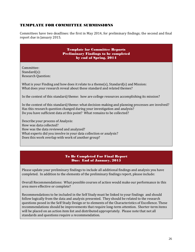## TEMPLATE FOR COMMITTEE SUBMISSIONS

Committees have two deadlines: the first in May 2014, for preliminary findings; the second and final report due in January 2015.

> Template for Committee Reports Preliminary Findings to be completed by end of Spring, 2014

Committee: Standard(s): Research Question:

What is your Finding and how does it relate to a theme(s), Standard(s) and Mission: What does your research reveal about these standard and related themes?

In the context of this standard/theme: how are college resources accomplishing its mission?

In the context of this standard/theme: what decision-making and planning processes are involved? Has this research question changed during your investigation and analysis? Do you have sufficient data at this point? What remains to be collected?

Describe your process of Analysis: How was data collected? How was the data reviewed and analyzed? What experts did you involve in your data collection or analysis? Does this work overlap with work of another group?

#### To Be Completed For Final Report Due: End of January, 2015

Please update your preliminary findings to include all additional findings and analysis you have completed. In addition to the elements of the preliminary findings report, please include:

Overall Recommendations: What possible courses of action would make our performance in this area more effective or complete?

Recommendations to be included in the Self Study must be linked to your findings and should follow logically from the data and analysis presented. They should be related to the research questions posed in the Self Study Design or to elements of the Characteristics of Excellence. These recommendations should be improvements that require long-term attention. Shorter-term items will be placed on an action item list and distributed appropriately. Please note that not all standards and questions require a recommendation.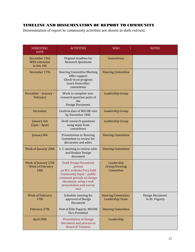## TIMELINE AND DISSEMINATION OF REPORT TO COMMUNITY

Dissemination of report to community activities are shown in dark red text.

| SEMESTER/<br><b>DATE</b>                           | <b>ACTIVITIES</b>                                                                                                                                                                        | <b>WHO</b>                                    | <b>NOTES</b>                      |
|----------------------------------------------------|------------------------------------------------------------------------------------------------------------------------------------------------------------------------------------------|-----------------------------------------------|-----------------------------------|
| December 15th<br>With extension<br>to Jan. 6th     | Original deadline for<br><b>Research Questions</b>                                                                                                                                       | Committees                                    |                                   |
| December 17th                                      | <b>Steering Committee Meeting</b><br>Offer support<br>Check-in on progress<br>Learn from other<br>committees                                                                             | <b>Steering Committee</b>                     |                                   |
| December - January -<br>February                   | Work to complete non-<br>research question parts of<br>the<br>Design Document.                                                                                                           | Leadership Group                              |                                   |
| December                                           | Confirm date of MSCHE visit<br>by December 18th.                                                                                                                                         | Leadership Group                              |                                   |
| January 6th<br>$(2pm - 4pm)$                       | Draft research questions<br>using input from<br>committees                                                                                                                               | Leadership Group                              |                                   |
| January 8th                                        | <b>Presentation to Steering</b><br>Committee to review for<br>discussion and edits.                                                                                                      | <b>Steering Committee</b>                     |                                   |
| Week of January 20th                               | S. C. meeting to review edits<br>and finalize Design<br>document                                                                                                                         | <b>Steering Committee</b>                     |                                   |
| Week of January 27th<br>- Week of February<br>10th | <b>Draft Design Document</b><br>posted<br>on M.S. website/Fora held<br>Community Input - public<br>comment periods on design<br>document, using a web<br>presentation and survey<br>tool | Leadership<br>Group/Steering<br>Committee     |                                   |
| <b>Week of February</b><br>17th                    | Schedule meeting for<br>approval of Design<br>Document                                                                                                                                   | <b>Steering Committee/</b><br>Leadership Team | Design Document<br>to Dr. Fogarty |
| February 27th                                      | Visit of Ellie Fogarty, MSCHE<br>Vice-President                                                                                                                                          | <b>Steering Committee</b>                     |                                   |
| April 28th                                         | <b>Presentation of Design</b><br>Document and process to<br><b>Board of Trustees</b>                                                                                                     | Leadership                                    |                                   |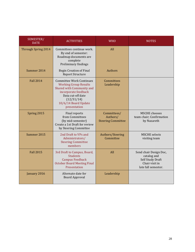| SEMESTER/<br><b>DATE</b> | <b>ACTIVITIES</b>                                                                                                                                                                               | <b>WHO</b>                                           | <b>NOTES</b>                                                                                       |
|--------------------------|-------------------------------------------------------------------------------------------------------------------------------------------------------------------------------------------------|------------------------------------------------------|----------------------------------------------------------------------------------------------------|
| Through Spring 2014      | Committees continue work.<br>By end of semester:<br>Roadmap documents are<br>complete<br>Preliminary findings                                                                                   | All                                                  |                                                                                                    |
| Summer 2014              | <b>Begin Creation of Final</b><br><b>Report Structure</b>                                                                                                                                       | <b>Authors</b>                                       |                                                                                                    |
| <b>Fall 2014</b>         | <b>Committee Work Continues</b><br><b>Working Group Results</b><br>Shared with Community and<br>incorporate feedback<br>Data cut-off date<br>(12/31/14)<br>10/6/14 Board Update<br>presentation | Committees<br>Leadership                             |                                                                                                    |
| Spring 2015              | Final reports<br>from Committees<br>(by mid-semester)<br>Create a 1st Draft for review<br>by Steering Committee                                                                                 | Committees/<br>Authors/<br><b>Steering Committee</b> | <b>MSCHE</b> chooses<br>team chair; Confirmation<br>by Nazareth                                    |
| Summer 2015              | 2nd Draft to VPs and<br>Administrators/<br><b>Steering Committee</b><br>members                                                                                                                 | Authors/Steering<br>Committee                        | <b>MSCHE</b> selects<br>visiting team                                                              |
| <b>Fall 2015</b>         | 3rd Draft to Campus, Board,<br><b>Students</b><br><b>Campus Feedback</b><br><b>October Board Meeting Final</b><br>Presentation                                                                  | All                                                  | Send chair Design Doc,<br>catalog and<br>Self Study Draft<br>Chair visit in<br>late fall semester. |
| January 2016             | Alternate date for<br><b>Board Approval</b>                                                                                                                                                     | Leadership                                           |                                                                                                    |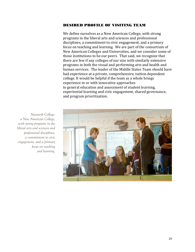#### DESIRED PROFILE OF VISITING TEAM

We define ourselves as a New American College, with strong programs in the liberal arts and sciences and professional disciplines, a commitment to civic engagement, and a primary focus on teaching and learning. We are part of the consortium of New American Colleges and Universities, and we consider some of those institutions to be our peers. That said, we recognize that there are few if any colleges of our size with similarly extensive programs in both the visual and performing arts and health and human services. The leader of the Middle States Team should have had experience at a private, comprehensive, tuition dependent college. It would be helpful if the team as a whole brings experience in or with innovative approaches to general education and assessment of student learning, experiential learning and civic engagement, shared governance, and program prioritization.



*Nazareth College: a New American College, with strong programs in the liberal arts and sciences and professional disciplines, a commitment to civic engagement, and a primary focus on teaching and learning.*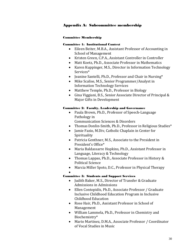## Appendix A: Subcommittee membership

#### Committee Membership

#### Committee 1: Institutional Context

- Eileen Beiter, M.B.A., Assistant Professor of Accounting in School of Management
- Kristen Green, C.P.A., Assistant Controller in Controller
- Matt Koetz, Ph.D., Associate Professor in Mathematics
- Karen Kuppinger, M.S., Director in Information Technology Services\*
- Jeanine Santelli, Ph.D., Professor and Chair in Nursing\*
- Mike Scalise, M.S., Senior Programmer/Analyst in Information Technology Services
- Matthew Temple, Ph.D., Professor in Biology
- Gina Viggiani, B.S., Senior Associate Director of Principal & Major Gifts in Development

#### Committee 2: Faculty, Leadership and Governance

- Paula Brown, Ph.D., Professor of Speech-Language Pathology in
	- Communication Sciences & Disorders
- Thomas Donlin-Smith, Ph.D., Professor in Religious Studies\*
- Jamie Fazio, M.Div, Catholic Chaplain in Center for Spirituality
- Patricia Genthner, M.S., Associate to the President in President's Office\*
- Maria Baldassarre Hopkins, Ph.D., Assistant Professor in Language, Literacy & Technology
- Thomas Lappas, Ph.D., Associate Professor in History & Political Science
- Marcia Miller Spoto, D.C., Professor in Physical Therapy
- •

## Committee 3: Students and Support Services

- Judith Baker, M.S., Director of Transfer & Graduate Admissions in Admissions
- Ellen Contopidis, Ph.D., Associate Professor / Graduate Inclusive Childhood Education Program in Inclusive Childhood Education
- Rose Hair, Ph.D., Assistant Professor in School of Management
- William Lammela, Ph.D., Professor in Chemistry and Biochemistry\*
- Mario Martinez, D.M.A., Associate Professor / Coordinator of Vocal Studies in Music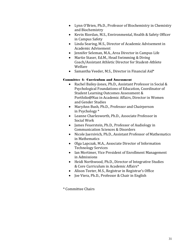- Lynn O'Brien, Ph.D., Professor of Biochemistry in Chemistry and Biochemistry
- Kevin Riordan, M.S., Environmental, Health & Safety Officer in Campus Safety
- Linda Searing, M.S., Director of Academic Advisement in Academic Advisement
- Jennifer Seleman, M.A., Area Director in Campus Life
- Martie Staser, Ed.M., Head Swimming & Diving Coach/Assistant Athletic Director for Student-Athlete Welfare
- Samantha Veeder, M.S., Director in Financial Aid\*

## Committee 4: Curriculum and Assessment

- Rachel Bailey-Jones, Ph.D., Assistant Professor in Social & Psychological Foundations of Education, Coordinator of Student Learning Outcomes Assessment & Portfolio@Naz in Academic Affairs, Director in Women and Gender Studies
- MaryAnn Bush, Ph.D., Professor and Chairperson in Psychology \*
- Leanne Charlesworth, Ph.D., Associate Professor in Social Work
- James Feuerstein, Ph.D., Professor of Audiology in Communication Sciences & Disorders
- Nicole Juersivich, Ph.D., Assistant Professor of Mathematics in Mathematics
- Olga Lapczak, M.A., Associate Director of Information Technology Services
- Ian Mortimer, Vice President of Enrollment Management in Admissions
- Heidi Northwood, Ph.D., Director of Integrative Studies & Core Curriculum in Academic Affairs\*
- Alison Teeter, M.S., Registrar in Registrar's Office
- Joe Viera, Ph.D., Professor & Chair in English

\* Committee Chairs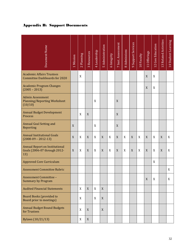## Appendix B: Support Documents

| Document Name                                                                | Mission<br>$\overline{\phantom{0}}$ | Planning<br>$\overline{\mathsf{N}}$ | Resources<br>$\infty$     | Leadership<br>$\overline{+}$ | 5 Administration | 6 Integrity | 7 Inst. Assessment | 8 Admissions | Support Services<br>$\sigma$ | 10 Faculty | Offerings<br>$\overline{\overline{a}}$ | <b>Gen Education</b><br>12 | <b>Related Activities</b><br>$\overline{13}$ | <b>Student Learning</b><br>$\overline{14}$ |
|------------------------------------------------------------------------------|-------------------------------------|-------------------------------------|---------------------------|------------------------------|------------------|-------------|--------------------|--------------|------------------------------|------------|----------------------------------------|----------------------------|----------------------------------------------|--------------------------------------------|
| <b>Academic Affairs Trustees</b><br><b>Committee Dashboards for 2020</b>     |                                     | X                                   |                           |                              |                  |             |                    |              |                              |            | X                                      | X                          |                                              |                                            |
| <b>Academic Program Changes</b><br>$(2005 - 2013)$                           |                                     |                                     |                           |                              |                  |             |                    |              |                              |            | X                                      | X                          |                                              |                                            |
| <b>Admin Assessment</b><br><b>Planning/Reporting Worksheet</b><br>(10/10)    |                                     |                                     |                           | X                            |                  |             | X                  |              |                              |            |                                        |                            |                                              |                                            |
| <b>Annual Budget Development</b><br>Process                                  |                                     | X                                   | X                         |                              |                  |             | X                  |              |                              |            |                                        |                            |                                              |                                            |
| <b>Annual Goal Setting and</b><br>Reporting                                  | X                                   |                                     |                           | X                            |                  |             | X                  |              |                              |            |                                        |                            |                                              |                                            |
| <b>Annual Institutional Goals</b><br>$(2008-09 - 2012-13)$                   | X                                   | X                                   | X                         | X                            | X                | X           | X                  | X            | X                            | X          | X                                      | X                          | X                                            | X                                          |
| <b>Annual Report on Institutional</b><br>Goals (2006-07 through 2012-<br>13) | X                                   | X                                   | X                         | X                            | X                | X           | X                  | X            | X                            | X          | X                                      | X                          | X                                            | X                                          |
| <b>Approved Core Curriculum</b>                                              |                                     |                                     |                           |                              |                  |             |                    |              |                              |            |                                        | X                          |                                              |                                            |
| <b>Assessment Committee Rubric</b>                                           |                                     |                                     |                           |                              |                  |             |                    |              |                              |            |                                        |                            |                                              | X                                          |
| Assessment Committee -<br><b>Summary by Program</b>                          |                                     |                                     |                           |                              |                  |             |                    |              |                              |            | X                                      | X                          |                                              | X                                          |
| <b>Audited Financial Statements</b>                                          |                                     | X                                   | $\boldsymbol{\mathrm{X}}$ | X                            | X                |             |                    |              |                              |            |                                        |                            |                                              |                                            |
| <b>Board Books (provided to</b><br>Board prior to meetings)                  |                                     | X                                   |                           | X                            | X                |             |                    |              |                              |            |                                        |                            |                                              |                                            |
| <b>Annual Budget Bound Budgets</b><br>for Trustees                           |                                     | X                                   | $\boldsymbol{\mathrm{X}}$ |                              | X                |             |                    |              |                              |            |                                        |                            |                                              |                                            |
| Bylaws (10/21/13)                                                            |                                     | X                                   | X                         |                              |                  |             |                    |              |                              |            |                                        |                            |                                              |                                            |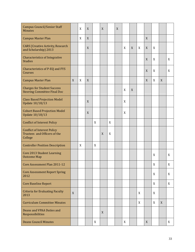| <b>Campus Council/Senior Staff</b><br><b>Minutes</b>                          |   | X | X |   | X |   | X |   |             |   |             |   |   |   |
|-------------------------------------------------------------------------------|---|---|---|---|---|---|---|---|-------------|---|-------------|---|---|---|
| <b>Campus Master Plan</b>                                                     |   | X | X |   |   |   |   |   |             |   | X           |   |   |   |
| <b>CARS</b> (Creative Activity, Research<br>and Scholarship) 2013             |   |   | X |   |   |   |   | X | X           | X | X           | X |   |   |
| <b>Characteristics of Integrative</b><br><b>Studies</b>                       |   |   |   |   |   |   |   |   |             |   | X           | X |   | X |
| Characteristics of P-EQ and FYS<br>Courses                                    |   |   |   |   |   |   |   |   |             |   | $\mathbf X$ | X |   | X |
| <b>Campus Master Plan</b>                                                     | X | X | X |   |   |   |   |   |             |   | X           | X | X |   |
| <b>Charges for Student Success</b><br><b>Steering Committee Final Doc</b>     |   |   |   |   |   |   |   | X | $\mathbf X$ |   |             |   |   |   |
| <b>Class Based Projection Model</b><br><b>Update 10/18/13</b>                 |   |   | X |   |   |   |   | X |             |   |             |   |   |   |
| <b>Cohort Based Projection Model</b><br><b>Update 10/18/13</b>                |   |   | X |   |   |   |   | X |             |   |             |   |   |   |
| <b>Conflict of Interest Policy</b>                                            |   |   |   | X |   | X |   |   |             |   |             |   |   |   |
| <b>Conflict of Interest Policy</b><br>Trustees and Officers of the<br>College |   |   |   |   | X | X |   |   |             |   |             |   |   |   |
| <b>Controller Position Description</b>                                        |   | X |   | X |   |   |   |   |             |   |             |   |   |   |
| Core 2013 Student Learning<br><b>Outcome Map</b>                              |   |   |   |   |   |   |   |   |             |   |             | X |   | X |
| Core Assessment Plan 2011-12                                                  |   |   |   |   |   |   |   |   |             |   |             | X |   | X |
| <b>Core Assessment Report Spring</b><br>2012                                  |   |   |   |   |   |   |   |   |             |   |             | X |   | X |
| <b>Core Baseline Report</b>                                                   |   |   |   |   |   |   |   |   |             |   |             | X |   | X |
| <b>Criteria for Evaluating Faculty</b><br>2013                                | X |   |   |   |   |   |   |   |             | X |             | X |   |   |
| <b>Curriculum Committee Minutes</b>                                           |   |   |   |   |   |   |   |   |             | X |             | X | X |   |
| Deans and VPAA Duties and<br>Responsibilities                                 |   |   |   |   | X |   |   |   |             |   |             |   |   |   |
| <b>Deans Council Minutes</b>                                                  |   |   |   | X |   |   |   | X |             |   | X           |   |   | X |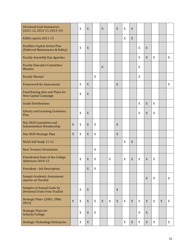| <b>Divisional Goal Summaries</b>                                         |   |   |   |   |   |   |   |   |   |   |   |   |   |   |
|--------------------------------------------------------------------------|---|---|---|---|---|---|---|---|---|---|---|---|---|---|
| $(2011-12, 2012-13, 2013-14)$                                            |   | X | X |   | X |   | X | X | X |   |   |   |   |   |
| EADA reports 2011-13                                                     |   |   |   |   |   |   |   | X | X |   |   |   |   |   |
| <b>Facilities Capital Action Plan</b><br>(Deferred Maintenance & Safety) |   | X | X |   |   |   |   |   |   | X | X |   |   |   |
| <b>Faculty Assembly Day Agendas</b>                                      |   |   |   |   |   |   |   |   |   | X | X | X |   | X |
| <b>Faculty Executive Committee</b><br><b>Minutes</b>                     |   |   |   |   | X |   |   |   |   | X |   |   |   |   |
| <b>Faculty Manual</b>                                                    |   |   |   | X |   |   |   |   |   | X |   |   |   |   |
| <b>Framework for Assessment</b>                                          |   | X | X |   |   |   | X |   |   |   |   |   |   | X |
| Fund Raising data and Plans for<br><b>New Capital Campaign</b>           |   | X | X |   |   |   |   |   |   |   |   |   |   |   |
| <b>Grade Distributions</b>                                               |   |   |   |   |   |   |   |   |   | X | X | X |   |   |
| <b>Library and Learning Commons</b><br>Plan                              |   | X | X |   |   |   |   |   |   | X | X | X |   |   |
| Naz 2020 Committee and<br><b>Subcommittee Membership</b>                 | X | X | X | X |   |   | X |   |   |   |   |   |   |   |
| Naz 2020 Strategic Plan                                                  | X | X | X | X |   |   | X |   |   |   |   |   |   |   |
| NCAA Self Study 11-12                                                    |   |   |   |   |   |   |   | X | X |   |   |   |   |   |
| <b>New Trustees Orientation</b>                                          |   |   |   | X |   |   |   |   |   |   |   |   |   |   |
| <b>Presidential State of the College</b><br>Addresses 2010-12            |   | X | X | X |   | X |   | X | X | X | X | X |   |   |
| President - Job Description                                              |   |   | X | X |   |   |   |   |   |   |   |   |   |   |
| Sample Academic Assessment<br>reports on TracDat                         |   |   |   |   |   |   |   |   |   |   | X | X |   | X |
| <b>Samples of Annual Goals by</b><br>Divisional Units from TracDat       |   | X | X |   |   |   | X |   |   |   |   |   |   |   |
| Strategic Plans (2001, 2006,<br>2013)                                    | X | X | X | X | X | X | X | X | X | X | X | X | X | X |
| <b>Strategic Plans for</b><br>Schools/College                            |   | X | X | X |   |   |   |   |   | X | X |   |   |   |
| <b>Strategic Technology Enterprise</b>                                   |   | X | X |   |   |   |   | X | X | X | X | X |   | X |